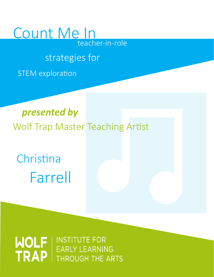## Count Me In teacher-in-role

## strategies for

STEM exploration

## *presented by* Wolf Trap Master Teaching Artist

Christina Farrell

# WOLF | INSTITUTE FOR<br>
TRAP | EARLY LEARNING THROUGH THE ARTS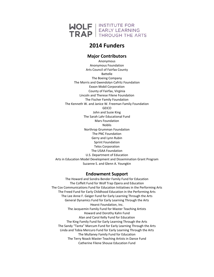

#### **2014 Funders**

#### **Major Contributors**

Anonymous Anonymous Foundation Arts Council of Fairfax County Battelle The Boeing Company The Morris and Gwendolyn Cafritz Foundation Exxon Mobil Corporation County of Fairfax, Virginia Lincoln and Therese Filene Foundation The Fischer Family Foundation The Kenneth W. and Janice W. Freeman Family Foundation **GEICO** John and Susie King The Sarah Lahr Educational Fund Mars Foundation Noblis Northrop Grumman Foundation The PNC Foundation Gerry and Lynn Rubin Sprint Foundation Telos Corporation The USAA Foundation U.S. Department of Education Arts in Education Model Development and Dissemination Grant Program Suzanne S. and Glenn A. Youngkin

#### **Endowment Support**

The Howard and Sondra Bender Family Fund for Education The Coffelt Fund for Wolf Trap Opera and Education The Cox Communications Fund for Education Initiatives in the Performing Arts The Freed Fund for Early Childhood Education in the Performing Arts The Lee Anne F. Geiger Fund for Early Learning Through the Arts General Dynamics Fund for Early Learning Through the Arts Hearst Foundation, Inc. The Jacquemin Family Fund for Master Teaching Artists Howard and Dorothy Kahn Fund Alan and Carol Kelly Fund for Education The King Family Fund for Early Learning Through the Arts The Sandy "Tanta" Marcum Fund for Early Learning Through the Arts Linda and Tobia Mercuro Fund for Early Learning Through the Arts The Mullaney Family Fund for Education The Terry Noack Master Teaching Artists in Dance Fund Catherine Filene Shouse Education Fund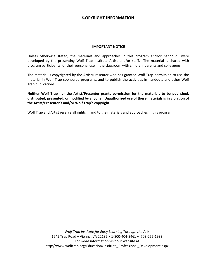#### **COPYRIGHT INFORMATION**

#### **IMPORTANT NOTICE**

Unless otherwise stated, the materials and approaches in this program and/or handout were developed by the presenting Wolf Trap Institute Artist and/or staff. The material is shared with program participants for their personal use in the classroom with children, parents and colleagues.

The material is copyrighted by the Artist/Presenter who has granted Wolf Trap permission to use the material in Wolf Trap sponsored programs, and to publish the activities in handouts and other Wolf Trap publications.

**Neither Wolf Trap nor the Artist/Presenter grants permission for the materials to be published, distributed, presented, or modified by anyone. Unauthorized use of these materials is in violation of the Artist/Presenter's and/or Wolf Trap's copyright.** 

Wolf Trap and Artist reserve all rights in and to the materials and approaches in this program.

*Wolf Trap Institute for Early Learning Through the Arts*  1645 Trap Road • Vienna, VA 22182 • 1-800-404-8461 • 703-255-1933 For more information visit our website at http://www.wolftrap.org/Education/Institute\_Professional\_Development.aspx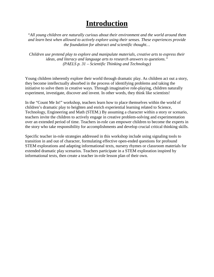### **Introduction**

*"All young children are naturally curious about their environment and the world around them and learn best when allowed to actively explore using their senses. These experiences provide the foundation for abstract and scientific thought…* 

*Children use pretend play to explore and manipulate materials, creative arts to express their ideas, and literacy and language arts to research answers to questions." (PAELS p. 31 – Scientific Thinking and Technology)*

Young children inherently explore their world through dramatic play. As children act out a story, they become intellectually absorbed in the process of identifying problems and taking the initiative to solve them in creative ways. Through imaginative role-playing, children naturally experiment, investigate, discover and invent. In other words, they think like scientists!

In the "Count Me In!" workshop, teachers learn how to place themselves within the world of children's dramatic play to heighten and enrich experiential learning related to Science, Technology, Engineering and Math (STEM.) By assuming a character within a story or scenario, teachers invite the children to actively engage in creative problem-solving and experimentation over an extended period of time. Teachers in-role can empower children to become the experts in the story who take responsibility for accomplishments and develop crucial critical thinking skills.

Specific teacher in-role strategies addressed in this workshop include using signaling tools to transition in and out of character, formulating effective open-ended questions for profound STEM explorations and adapting informational texts, nursery rhymes or classroom materials for extended dramatic play scenarios. Teachers participate in a STEM exploration inspired by informational texts, then create a teacher in-role lesson plan of their own.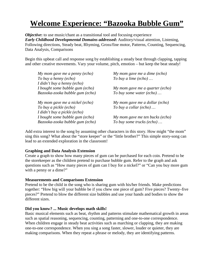## **Welcome Experience: "Bazooka Bubble Gum"**

*Objective*: to use music/chant as a transitional tool and focusing experience *Early Childhood Developmental Domains addressed***:** Auditory/visual attention, Listening, Following directions, Steady beat, Rhyming, Gross/fine motor, Patterns, Counting, Sequencing, Data Analysis, Comparisons

Begin this upbeat call and response song by establishing a steady beat through clapping, tapping and other creative movements. Vary your volume, pitch, emotion – but keep the beat steady!

| My mom gave me a penny $(echo)$ | My mom gave me a dime (echo)    |
|---------------------------------|---------------------------------|
| To buy a henny (echo)           | To buy a lime (echo) $\ldots$   |
| I didn't buy a henny (echo)     |                                 |
| I bought some bubble gum (echo) | My mom gave me a quarter (echo) |
| Bazooka-zooka bubble gum (echo) | To buy some water (echo)        |
|                                 |                                 |
| My mom gave me a nickel (echo)  | My mom gave me a dollar (echo)  |
| To buy a pickle (echo)          | To buy a collar (echo)          |
| I didn't buy a pickle (echo)    |                                 |
| I bought some bubble gum (echo) | My mom gave me ten bucks (echo) |
| Bazooka-zooka bubble gum (echo) | To buy some trucks (echo)       |

Add extra interest to the song by assuming other characters in this story. How might "the mom" sing this song? What about the "store keeper" or the "little brother?" This simple story-song can lead to an extended exploration in the classroom!

#### **Graphing and Data Analysis Extension**

Create a graph to show how many pieces of gum can be purchased for each coin. Pretend to be the storekeeper as the children pretend to purchase bubble gum. Refer to the graph and ask questions such as "How many pieces of gum can I buy for a nickel?" or "Can you buy more gum with a penny or a dime?"

#### **Measurements and Comparisons Extension**

Pretend to be the child in the song who is sharing gum with his/her friends. Make predictions together: "How big will your bubble be if you chew one piece of gum? Five pieces? Twenty–five pieces?" Pretend to blow the different size bubbles and use your hands and bodies to show the different sizes.

#### **Did you know? ... Music develops math skills!**

Basic musical elements such as beat, rhythm and patterns stimulate mathematical growth in areas such as spatial reasoning, sequencing, counting, patterning and one-to-one correspondence. When children engage in steady beat activities such as marching or clapping, they are making one-to-one correspondence. When you sing a song faster, slower, louder or quieter, they are making comparisons. When they repeat a phrase or melody, they are identifying patterns.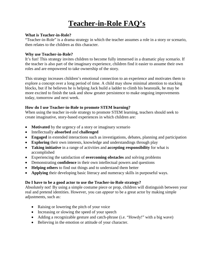## **Teacher-in-Role FAQ's**

#### **What is Teacher-in-Role?**

"Teacher-in-Role" is a drama strategy in which the teacher assumes a role in a story or scenario, then relates to the children as this character.

#### **Why use Teacher-in-Role?**

It's fun! This strategy invites children to become fully immersed in a dramatic play scenario. If the teacher is also part of the imaginary experience, children find it easier to assume their own roles and are empowered to take ownership of the story.

This strategy increases children's emotional connection to an experience and motivates them to explore a concept over a long period of time. A child may show minimal attention to stacking blocks, but if he believes he is helping Jack build a ladder to climb his beanstalk, he may be more excited to finish the task and show greater persistence to make ongoing improvements today, tomorrow and next week.

#### **How do I use Teacher-in-Role to promote STEM learning?**

When using the teacher in-role strategy to promote STEM learning, teachers should seek to create imaginative, story-based experiences in which children are:

- **Motivated** by the urgency of a story or imaginary scenario
- Intellectually **absorbed** and **challenged**
- **Engaged** in extended interactions such as investigations, debates, planning and participation
- **Exploring** their own interests, knowledge and understandings through play
- **Taking initiative** in a range of activities and **accepting responsibility** for what is accomplished
- Experiencing the satisfaction of **overcoming obstacles** and solving problems
- Demonstrating **confidence** in their own intellectual powers and questions
- **Helping others** to find out things and to understand them better
- **Applying** their developing basic literacy and numeracy skills in purposeful ways.

#### **Do I have to be a good actor to use the Teacher-in-Role strategy?**

Absolutely not! By using a simple costume piece or prop, children will distinguish between your real and pretend identities. However, you can *appear* to be a great actor by making simple adjustments, such as:

- Raising or lowering the pitch of your voice
- Increasing or slowing the speed of your speech
- Adding a recognizable gesture and catch-phrase (i.e. "Howdy!" with a big wave)
- Believing in the emotion or attitude of your character.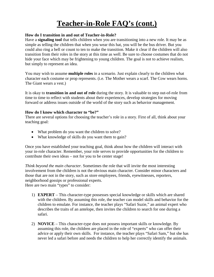## **Teacher-in-Role FAQ's (cont.)**

#### **How do I transition in and out of Teacher-in-Role?**

Have a **signaling tool** that tells children when you are transitioning into a new role. It may be as simple as telling the children that when you wear this hat, you will be the bus driver. But you could also ring a bell or count to ten to make the transition. Make it clear if the children will also transition from their roles in the story at this time as well. Be sure to choose costumes that do not hide your face which may be frightening to young children. The goal is not to achieve realism, but simply to represent an idea.

You may wish to assume **multiple roles** in a scenario. Just explain clearly to the children what character each costume or prop represents. (i.e. The Mother wears a scarf. The Cow wears horns. The Giant wears a vest.)

It is okay to **transition in and out of role** during the story. It is valuable to step out-of-role from time to time to reflect with students about their experiences, develop strategies for moving forward or address issues outside of the world of the story such as behavior management.

#### **How do I know which character to "be?"**

There are several options for choosing the teacher's role in a story. First of all, think about your teaching goal:

- What problem do you want the children to solve?
- What knowledge of skills do you want them to gain?

Once you have established your teaching goal, think about how the children will interact with your in-role character. Remember, your role serves to provide opportunities for the children to contribute their own ideas – not for you to be center stage!

*Think beyond the main character.* Sometimes the role that will invite the most interesting involvement from the children is not the obvious main character. Consider minor characters and those that are not in the story, such as store employees, friends, eyewitnesses, reporters, neighborhood gossips or professional experts. Here are two main "types" to consider:

- 1) **EXPERT** This character-type possesses special knowledge or skills which are shared with the children. By assuming this role, the teacher can model skills and behavior for the children to emulate. For instance, the teacher plays "Safari Suzie," an animal expert who describes the traits of an antelope, then invites the children to search for one during a safari.
- 2) **NOVICE** This character-type does not possess important skills or knowledge. By assuming this role, the children are placed in the role of "experts" who can offer their advice or apply their own skills. For instance, the teacher plays "Safari Sam," but she has never led a safari before and needs the children to help her correctly identify the animals.